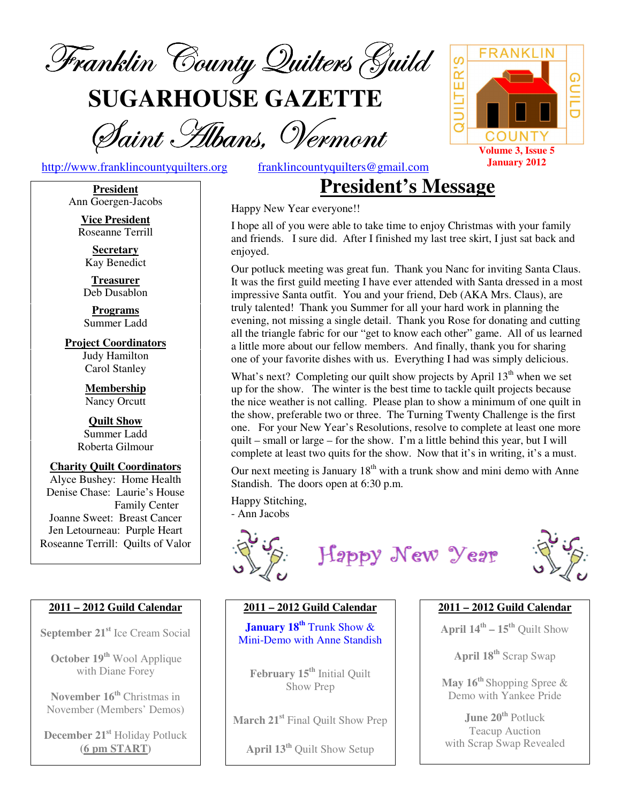

**SUGARHOUSE GAZETTE**

Saint Hibans, Vermont

http://www.franklincountyquilters.org franklincountyquilters@gmail.com

**President**  Ann Goergen-Jacobs

**Vice President**  Roseanne Terrill

**Secretary**  Kay Benedict

**Treasurer**  Deb Dusablon

**Programs**  Summer Ladd

**Project Coordinators**  Judy Hamilton Carol Stanley

> **Membership**  Nancy Orcutt

**Quilt Show**  Summer Ladd Roberta Gilmour

**Charity Quilt Coordinators**  Alyce Bushey: Home Health Denise Chase: Laurie's House Family Center Joanne Sweet: Breast Cancer Jen Letourneau: Purple Heart Roseanne Terrill: Quilts of Valor

#### **2011 – 2012 Guild Calendar**

**September 21st** Ice Cream Social

**October 19th** Wool Applique with Diane Forey

**November 16th** Christmas in November (Members' Demos)

**December 21st** Holiday Potluck **(6 pm START)**

## **President's Message**

Happy New Year everyone!!

I hope all of you were able to take time to enjoy Christmas with your family and friends. I sure did. After I finished my last tree skirt, I just sat back and enjoyed.

Our potluck meeting was great fun. Thank you Nanc for inviting Santa Claus. It was the first guild meeting I have ever attended with Santa dressed in a most impressive Santa outfit. You and your friend, Deb (AKA Mrs. Claus), are truly talented! Thank you Summer for all your hard work in planning the evening, not missing a single detail. Thank you Rose for donating and cutting all the triangle fabric for our "get to know each other" game. All of us learned a little more about our fellow members. And finally, thank you for sharing one of your favorite dishes with us. Everything I had was simply delicious.

What's next? Completing our quilt show projects by April  $13<sup>th</sup>$  when we set up for the show. The winter is the best time to tackle quilt projects because the nice weather is not calling. Please plan to show a minimum of one quilt in the show, preferable two or three. The Turning Twenty Challenge is the first one. For your New Year's Resolutions, resolve to complete at least one more quilt – small or large – for the show. I'm a little behind this year, but I will complete at least two quits for the show. Now that it's in writing, it's a must.

Our next meeting is January  $18<sup>th</sup>$  with a trunk show and mini demo with Anne Standish. The doors open at 6:30 p.m.

Happy Stitching,

- Ann Jacobs



Happy New Year



#### **2011 – 2012 Guild Calendar**

**January 18th** Trunk Show & Mini-Demo with Anne Standish

**February 15th** Initial Quilt Show Prep

**March 21st** Final Quilt Show Prep

**April 13th** Quilt Show Setup

#### **2011 – 2012 Guild Calendar**

**April 14th – 15th** Quilt Show

**April 18th** Scrap Swap

**May 16th** Shopping Spree & Demo with Yankee Pride

**June 20th** Potluck Teacup Auction with Scrap Swap Revealed

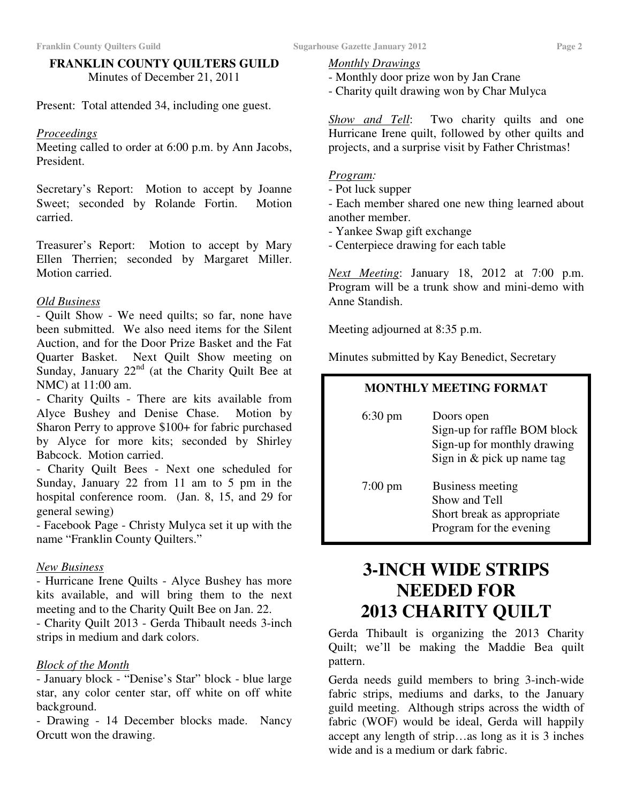#### **FRANKLIN COUNTY QUILTERS GUILD**  Minutes of December 21, 2011

Present: Total attended 34, including one guest.

#### *Proceedings*

Meeting called to order at 6:00 p.m. by Ann Jacobs, President.

Secretary's Report: Motion to accept by Joanne Sweet; seconded by Rolande Fortin. Motion carried.

Treasurer's Report: Motion to accept by Mary Ellen Therrien; seconded by Margaret Miller. Motion carried.

#### *Old Business*

- Quilt Show - We need quilts; so far, none have been submitted. We also need items for the Silent Auction, and for the Door Prize Basket and the Fat Quarter Basket. Next Quilt Show meeting on Sunday, January  $22<sup>nd</sup>$  (at the Charity Quilt Bee at NMC) at 11:00 am.

- Charity Quilts - There are kits available from Alyce Bushey and Denise Chase. Motion by Sharon Perry to approve \$100+ for fabric purchased by Alyce for more kits; seconded by Shirley Babcock. Motion carried.

- Charity Quilt Bees - Next one scheduled for Sunday, January 22 from 11 am to 5 pm in the hospital conference room. (Jan. 8, 15, and 29 for general sewing)

- Facebook Page - Christy Mulyca set it up with the name "Franklin County Quilters."

#### *New Business*

- Hurricane Irene Quilts - Alyce Bushey has more kits available, and will bring them to the next meeting and to the Charity Quilt Bee on Jan. 22.

- Charity Quilt 2013 - Gerda Thibault needs 3-inch strips in medium and dark colors.

#### *Block of the Month*

- January block - "Denise's Star" block - blue large star, any color center star, off white on off white background.

- Drawing - 14 December blocks made. Nancy Orcutt won the drawing.

#### *Monthly Drawings*

- Monthly door prize won by Jan Crane
- Charity quilt drawing won by Char Mulyca

*Show and Tell*: Two charity quilts and one Hurricane Irene quilt, followed by other quilts and projects, and a surprise visit by Father Christmas!

#### *Program:*

- Pot luck supper

- Each member shared one new thing learned about another member.

- Yankee Swap gift exchange
- Centerpiece drawing for each table

*Next Meeting*: January 18, 2012 at 7:00 p.m. Program will be a trunk show and mini-demo with Anne Standish.

Meeting adjourned at 8:35 p.m.

Minutes submitted by Kay Benedict, Secretary

#### **MONTHLY MEETING FORMAT**

| $6:30 \text{ pm}$ | Doors open<br>Sign-up for raffle BOM block<br>Sign-up for monthly drawing<br>Sign in $&$ pick up name tag |
|-------------------|-----------------------------------------------------------------------------------------------------------|
| $7:00 \text{ pm}$ | Business meeting<br>Show and Tell<br>Short break as appropriate<br>Program for the evening                |

## **3-INCH WIDE STRIPS NEEDED FOR 2013 CHARITY QUILT**

Gerda Thibault is organizing the 2013 Charity Quilt; we'll be making the Maddie Bea quilt pattern.

Gerda needs guild members to bring 3-inch-wide fabric strips, mediums and darks, to the January guild meeting. Although strips across the width of fabric (WOF) would be ideal, Gerda will happily accept any length of strip…as long as it is 3 inches wide and is a medium or dark fabric.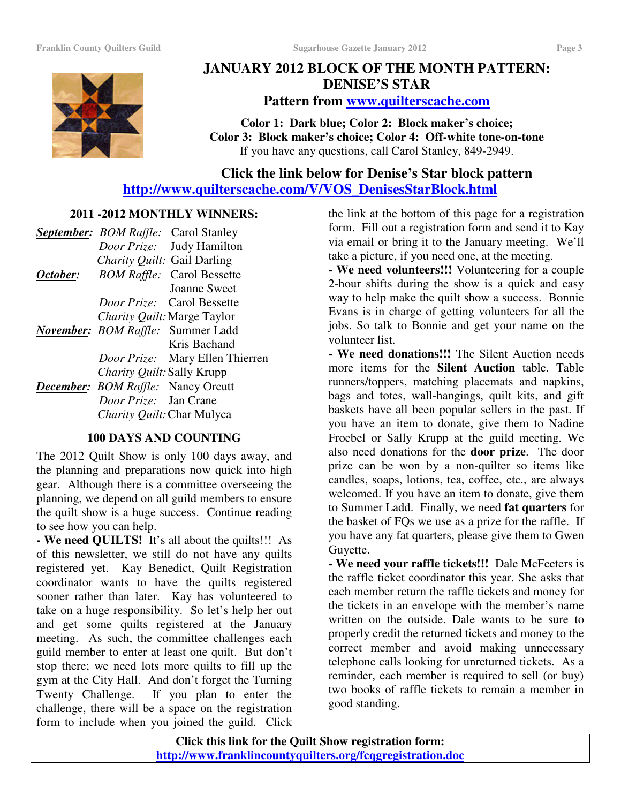

### **JANUARY 2012 BLOCK OF THE MONTH PATTERN: DENISE'S STAR Pattern from www.quilterscache.com**

**Color 1: Dark blue; Color 2: Block maker's choice; Color 3: Block maker's choice; Color 4: Off-white tone-on-tone**  If you have any questions, call Carol Stanley, 849-2949.

### **Click the link below for Denise's Star block pattern http://www.quilterscache.com/V/VOS\_DenisesStarBlock.html**

#### **2011 -2012 MONTHLY WINNERS:**

|          |                                           | <b>September:</b> BOM Raffle: Carol Stanley |
|----------|-------------------------------------------|---------------------------------------------|
|          |                                           | Door Prize: Judy Hamilton                   |
|          | Charity Quilt: Gail Darling               |                                             |
| October: |                                           | <b>BOM Raffle:</b> Carol Bessette           |
|          |                                           | <b>Joanne Sweet</b>                         |
|          |                                           | <i>Door Prize:</i> Carol Bessette           |
|          |                                           | <i>Charity Quilt:</i> Marge Taylor          |
|          |                                           | <b>November: BOM Raffle: Summer Ladd</b>    |
|          |                                           | Kris Bachand                                |
|          |                                           | <i>Door Prize:</i> Mary Ellen Thierren      |
|          | Charity Quilt: Sally Krupp                |                                             |
|          | <b>December:</b> BOM Raffle: Nancy Orcutt |                                             |
|          | Door Prize: Jan Crane                     |                                             |
|          | Charity Quilt: Char Mulyca                |                                             |

#### **100 DAYS AND COUNTING**

The 2012 Quilt Show is only 100 days away, and the planning and preparations now quick into high gear. Although there is a committee overseeing the planning, we depend on all guild members to ensure the quilt show is a huge success. Continue reading to see how you can help.

**- We need QUILTS!** It's all about the quilts!!! As of this newsletter, we still do not have any quilts registered yet. Kay Benedict, Quilt Registration coordinator wants to have the quilts registered sooner rather than later. Kay has volunteered to take on a huge responsibility. So let's help her out and get some quilts registered at the January meeting. As such, the committee challenges each guild member to enter at least one quilt. But don't stop there; we need lots more quilts to fill up the gym at the City Hall. And don't forget the Turning Twenty Challenge. If you plan to enter the challenge, there will be a space on the registration form to include when you joined the guild. Click

the link at the bottom of this page for a registration form. Fill out a registration form and send it to Kay via email or bring it to the January meeting. We'll take a picture, if you need one, at the meeting.

**- We need volunteers!!!** Volunteering for a couple 2-hour shifts during the show is a quick and easy way to help make the quilt show a success. Bonnie Evans is in charge of getting volunteers for all the jobs. So talk to Bonnie and get your name on the volunteer list.

**- We need donations!!!** The Silent Auction needs more items for the **Silent Auction** table. Table runners/toppers, matching placemats and napkins, bags and totes, wall-hangings, quilt kits, and gift baskets have all been popular sellers in the past. If you have an item to donate, give them to Nadine Froebel or Sally Krupp at the guild meeting. We also need donations for the **door prize**. The door prize can be won by a non-quilter so items like candles, soaps, lotions, tea, coffee, etc., are always welcomed. If you have an item to donate, give them to Summer Ladd. Finally, we need **fat quarters** for the basket of FQs we use as a prize for the raffle. If you have any fat quarters, please give them to Gwen Guyette.

**- We need your raffle tickets!!!** Dale McFeeters is the raffle ticket coordinator this year. She asks that each member return the raffle tickets and money for the tickets in an envelope with the member's name written on the outside. Dale wants to be sure to properly credit the returned tickets and money to the correct member and avoid making unnecessary telephone calls looking for unreturned tickets. As a reminder, each member is required to sell (or buy) two books of raffle tickets to remain a member in good standing.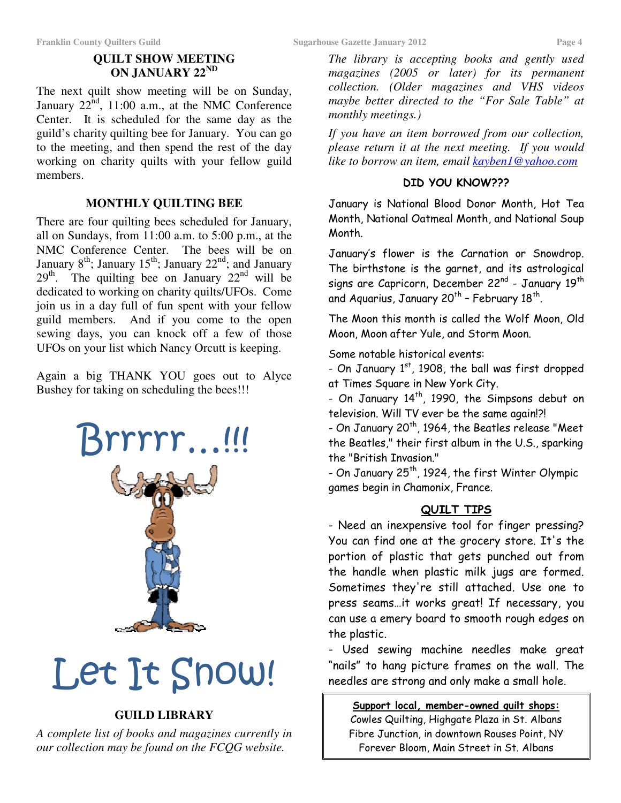#### **QUILT SHOW MEETING ON JANUARY 22ND**

The next quilt show meeting will be on Sunday, January  $22^{nd}$ , 11:00 a.m., at the NMC Conference Center. It is scheduled for the same day as the guild's charity quilting bee for January. You can go to the meeting, and then spend the rest of the day working on charity quilts with your fellow guild members.

#### **MONTHLY QUILTING BEE**

There are four quilting bees scheduled for January, all on Sundays, from 11:00 a.m. to 5:00 p.m., at the NMC Conference Center. The bees will be on January  $8<sup>th</sup>$ ; January  $15<sup>th</sup>$ ; January  $22<sup>nd</sup>$ ; and January  $29<sup>th</sup>$ . The quilting bee on January  $22<sup>nd</sup>$  will be dedicated to working on charity quilts/UFOs. Come join us in a day full of fun spent with your fellow guild members. And if you come to the open sewing days, you can knock off a few of those UFOs on your list which Nancy Orcutt is keeping.

Again a big THANK YOU goes out to Alyce Bushey for taking on scheduling the bees!!!



# Let It Snow!

#### **GUILD LIBRARY**

*A complete list of books and magazines currently in our collection may be found on the FCQG website.* 

*The library is accepting books and gently used magazines (2005 or later) for its permanent collection. (Older magazines and VHS videos maybe better directed to the "For Sale Table" at monthly meetings.)*

*If you have an item borrowed from our collection, please return it at the next meeting. If you would like to borrow an item, email kayben1@yahoo.com*

#### DID YOU KNOW???

January is National Blood Donor Month, Hot Tea Month, National Oatmeal Month, and National Soup Month.

January's flower is the Carnation or Snowdrop. The birthstone is the garnet, and its astrological signs are Capricorn, December 22<sup>nd</sup> - January 19<sup>th</sup> and Aquarius, January 20<sup>th</sup> – February 18<sup>th</sup>.

The Moon this month is called the Wolf Moon, Old Moon, Moon after Yule, and Storm Moon.

Some notable historical events:

- On January  $1<sup>st</sup>$ , 1908, the ball was first dropped at Times Square in New York City.

- On January 14<sup>th</sup>, 1990, the Simpsons debut on television. Will TV ever be the same again!?!

- On January 20<sup>th</sup>, 1964, the Beatles release "Meet the Beatles," their first album in the U.S., sparking the "British Invasion."

- On January 25<sup>th</sup>, 1924, the first Winter Olympic games begin in Chamonix, France.

#### QUILT TIPS

- Need an inexpensive tool for finger pressing? You can find one at the grocery store. It's the portion of plastic that gets punched out from the handle when plastic milk jugs are formed. Sometimes they're still attached. Use one to press seams…it works great! If necessary, you can use a emery board to smooth rough edges on the plastic.

- Used sewing machine needles make great "nails" to hang picture frames on the wall. The needles are strong and only make a small hole.

Support local, member-owned quilt shops:

Cowles Quilting, Highgate Plaza in St. Albans Fibre Junction, in downtown Rouses Point, NY Forever Bloom, Main Street in St. Albans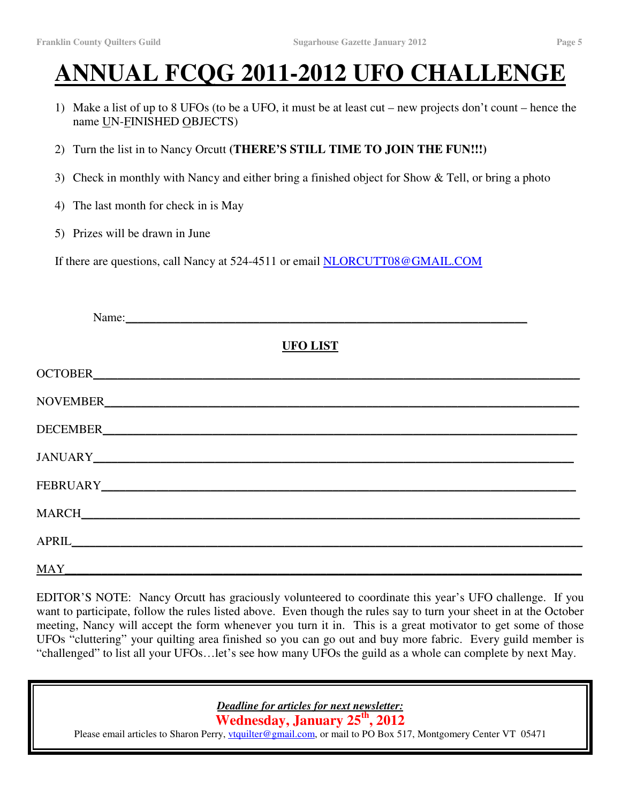## **ANNUAL FCQG 2011-2012 UFO CHALLENGE**

- 1) Make a list of up to 8 UFOs (to be a UFO, it must be at least cut new projects don't count hence the name UN-FINISHED OBJECTS)
- 2) Turn the list in to Nancy Orcutt **(THERE'S STILL TIME TO JOIN THE FUN!!!)**
- 3) Check in monthly with Nancy and either bring a finished object for Show & Tell, or bring a photo
- 4) The last month for check in is May
- 5) Prizes will be drawn in June

If there are questions, call Nancy at 524-4511 or email NLORCUTT08@GMAIL.COM

| Name:                   |  |
|-------------------------|--|
| <b>UFO LIST</b>         |  |
|                         |  |
|                         |  |
|                         |  |
|                         |  |
|                         |  |
|                         |  |
|                         |  |
| $\overline{\text{MAY}}$ |  |

EDITOR'S NOTE: Nancy Orcutt has graciously volunteered to coordinate this year's UFO challenge. If you want to participate, follow the rules listed above. Even though the rules say to turn your sheet in at the October meeting, Nancy will accept the form whenever you turn it in. This is a great motivator to get some of those UFOs "cluttering" your quilting area finished so you can go out and buy more fabric. Every guild member is "challenged" to list all your UFOs…let's see how many UFOs the guild as a whole can complete by next May.

*Deadline for articles for next newsletter:* 

**Wednesday, January 25th, 2012** 

Please email articles to Sharon Perry, *vtquilter@gmail.com*, or mail to PO Box 517, Montgomery Center VT 05471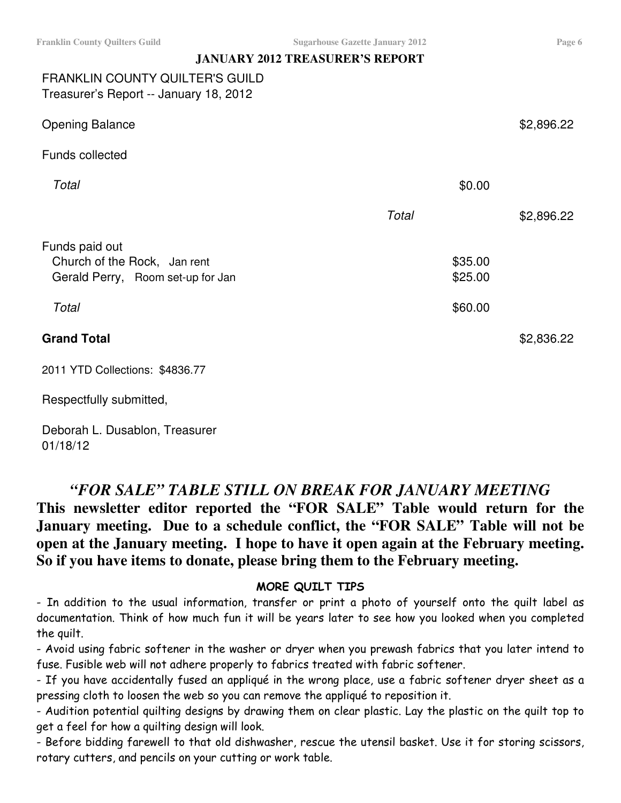#### **JANUARY 2012 TREASURER'S REPORT**

#### FRANKLIN COUNTY QUILTER'S GUILD Treasurer's Report -- January 18, 2012

| <b>Opening Balance</b>                                                              |         | \$2,896.22 |
|-------------------------------------------------------------------------------------|---------|------------|
| Funds collected                                                                     |         |            |
| Total                                                                               |         | \$0.00     |
|                                                                                     | Total   | \$2,896.22 |
| Funds paid out<br>Church of the Rock, Jan rent<br>Gerald Perry, Room set-up for Jan | \$35.00 | \$25.00    |
| Total                                                                               |         | \$60.00    |
| <b>Grand Total</b>                                                                  |         | \$2,836.22 |
| 2011 YTD Collections: \$4836.77                                                     |         |            |

Respectfully submitted,

Deborah L. Dusablon, Treasurer 01/18/12

#### *"FOR SALE" TABLE STILL ON BREAK FOR JANUARY MEETING*

**This newsletter editor reported the "FOR SALE" Table would return for the January meeting. Due to a schedule conflict, the "FOR SALE" Table will not be open at the January meeting. I hope to have it open again at the February meeting. So if you have items to donate, please bring them to the February meeting.**

#### MORE QUILT TIPS

- In addition to the usual information, transfer or print a photo of yourself onto the quilt label as documentation. Think of how much fun it will be years later to see how you looked when you completed the quilt.

- Avoid using fabric softener in the washer or dryer when you prewash fabrics that you later intend to fuse. Fusible web will not adhere properly to fabrics treated with fabric softener.

- If you have accidentally fused an appliqué in the wrong place, use a fabric softener dryer sheet as a pressing cloth to loosen the web so you can remove the appliqué to reposition it.

- Audition potential quilting designs by drawing them on clear plastic. Lay the plastic on the quilt top to get a feel for how a quilting design will look.

- Before bidding farewell to that old dishwasher, rescue the utensil basket. Use it for storing scissors, rotary cutters, and pencils on your cutting or work table.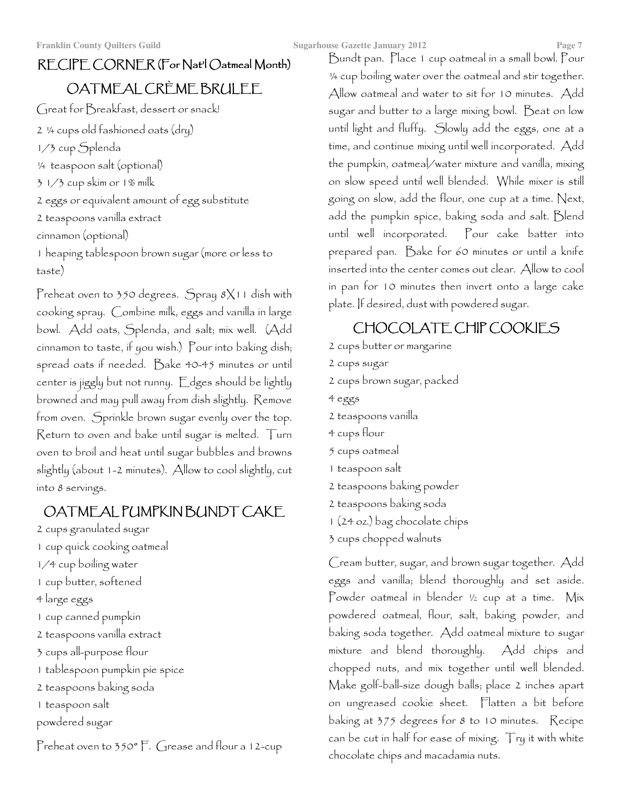## RECIPE CORNER (For Nat'l Oatmeal Month) OATMEAL CRÈME BRULEE

Great for Breakfast, dessert or snack!

2 ¼ cups old fashioned oats (dry) 1/3 cup Splenda ¼ teaspoon salt (optional) 3 1/3 cup skim or 1% milk 2 eggs or equivalent amount of egg substitute 2 teaspoons vanilla extract cinnamon (optional) 1 heaping tablespoon brown sugar (more or less to taste)

Preheat oven to 350 degrees. Spray 8X11 dish with cooking spray. Combine milk, eggs and vanilla in large bowl. Add oats, Splenda, and salt; mix well. (Add cinnamon to taste, if you wish.) Pour into baking dish; spread oats if needed. Bake 40-45 minutes or until center is jiggly but not runny. Edges should be lightly browned and may pull away from dish slightly. Remove from oven. Sprinkle brown sugar evenly over the top. Return to oven and bake until sugar is melted. Turn oven to broil and heat until sugar bubbles and browns slightly (about 1-2 minutes). Allow to cool slightly, cut into 8 servings.

## OATMEAL PUMPKINBUNDT CAKE

- 2 cups granulated sugar 1 cup quick cooking oatmeal 1/4 cup boiling water 1 cup butter, softened 4 large eggs 1 cup canned pumpkin 2 teaspoons vanilla extract 3 cups all-purpose flour 1 tablespoon pumpkin pie spice 2 teaspoons baking soda
- 1 teaspoon salt
- powdered sugar

Preheat oven to 350° F. Grease and flour a 12-cup

Bundt pan. Place 1 cup oatmeal in a small bowl. Pour ¼ cup boiling water over the oatmeal and stir together. Allow oatmeal and water to sit for 10 minutes. Add sugar and butter to a large mixing bowl. Beat on low until light and fluffy. Slowly add the eggs, one at a time, and continue mixing until well incorporated. Add the pumpkin, oatmeal/water mixture and vanilla, mixing on slow speed until well blended. While mixer is still going on slow, add the flour, one cup at a time. Next, add the pumpkin spice, baking soda and salt. Blend until well incorporated. Pour cake batter into prepared pan. Bake for 60 minutes or until a knife inserted into the center comes out clear. Allow to cool in pan for 10 minutes then invert onto a large cake plate. If desired, dust with powdered sugar.

## CHOCOLATE CHIP COOKIES

- 2 cups butter or margarine
- 2 cups sugar
- 2 cups brown sugar, packed
- 4 eggs
- 2 teaspoons vanilla
- 4 cups flour
- 5 cups oatmeal
- 1 teaspoon salt
- 2 teaspoons baking powder
- 2 teaspoons baking soda
- 1 (24 oz.) bag chocolate chips
- 3 cups chopped walnuts

Cream butter, sugar, and brown sugar together. Add eggs and vanilla; blend thoroughly and set aside. Powder oatmeal in blender 1/2 cup at a time. Mix powdered oatmeal, flour, salt, baking powder, and baking soda together. Add oatmeal mixture to sugar mixture and blend thoroughly. Add chips and chopped nuts, and mix together until well blended. Make golf-ball-size dough balls; place 2 inches apart on ungreased cookie sheet. Flatten a bit before baking at 375 degrees for 8 to 10 minutes. Recipe can be cut in half for ease of mixing. Try it with white chocolate chips and macadamia nuts.